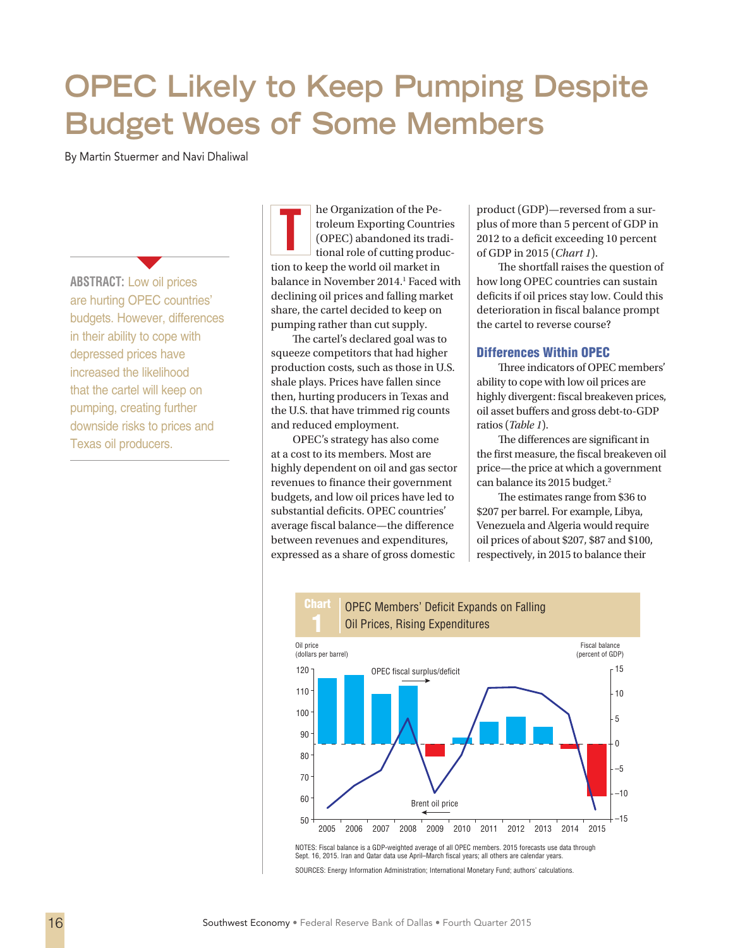# **OPEC Likely to Keep Pumping Despite Budget Woes of Some Members**

By Martin Stuermer and Navi Dhaliwal

**ABSTRACT:** Low oil prices are hurting OPEC countries' budgets. However, differences in their ability to cope with depressed prices have increased the likelihood that the cartel will keep on pumping, creating further downside risks to prices and Texas oil producers.

 $\blacktriangledown$ 

he Organization of the Petroleum Exporting Countries (OPEC) abandoned its traditional role of cutting production to keep the world oil market in balance in November 2014.<sup>1</sup> Faced with declining oil prices and falling market share, the cartel decided to keep on pumping rather than cut supply. The Organization of the Pe-product (GDP)—reversed from a sur-<br>troleum Exporting Countries<br>(OPEC) abandoned its tradi-<br>tional role of cutting produc-<br>of GDP in 2015 (*Chart 1*).

The cartel's declared goal was to squeeze competitors that had higher production costs, such as those in U.S. shale plays. Prices have fallen since then, hurting producers in Texas and the U.S. that have trimmed rig counts and reduced employment.

OPEC's strategy has also come at a cost to its members. Most are highly dependent on oil and gas sector revenues to finance their government budgets, and low oil prices have led to substantial deficits. OPEC countries' average fiscal balance—the difference between revenues and expenditures, expressed as a share of gross domestic

**Chart** 

plus of more than 5 percent of GDP in 2012 to a deficit exceeding 10 percent of GDP in 2015 (*Chart 1*).

The shortfall raises the question of how long OPEC countries can sustain deficits if oil prices stay low. Could this deterioration in fiscal balance prompt the cartel to reverse course?

# Differences Within OPEC

Three indicators of OPEC members' ability to cope with low oil prices are highly divergent: fiscal breakeven prices, oil asset buffers and gross debt-to-GDP ratios (*Table 1*).

The differences are significant in the first measure, the fiscal breakeven oil price—the price at which a government can balance its 2015 budget.<sup>2</sup>

The estimates range from \$36 to \$207 per barrel. For example, Libya, Venezuela and Algeria would require oil prices of about \$207, \$87 and \$100, respectively, in 2015 to balance their



Sept. 16, 2015. Iran and Qatar data use April–March fiscal years; all others are calendar years. SOURCES: Energy Information Administration; International Monetary Fund; authors' calculations.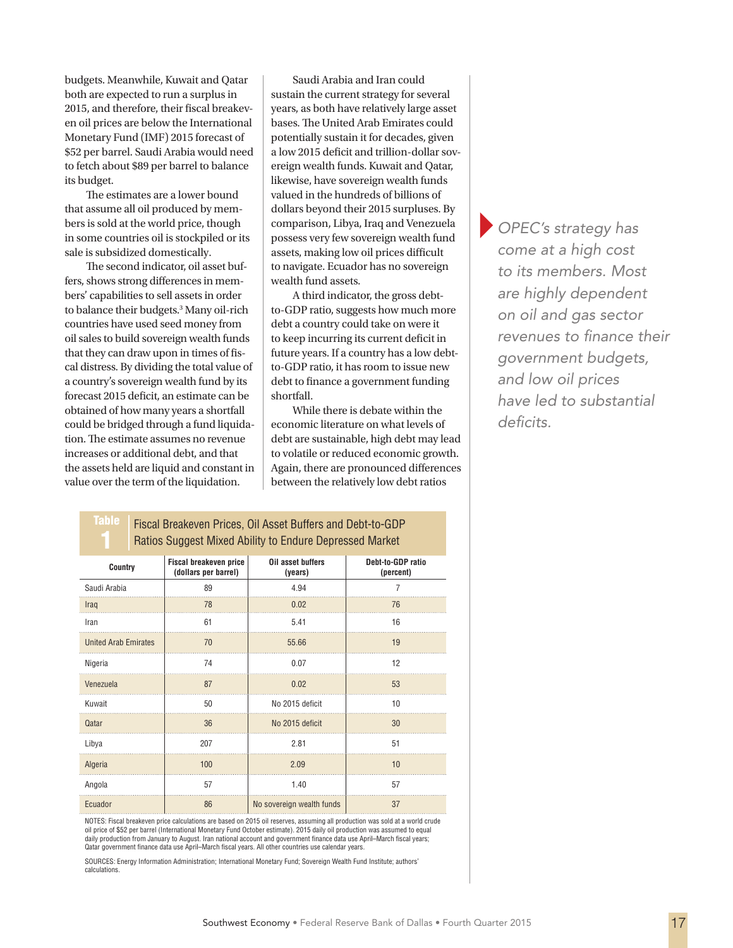budgets. Meanwhile, Kuwait and Qatar both are expected to run a surplus in 2015, and therefore, their fiscal breakeven oil prices are below the International Monetary Fund (IMF) 2015 forecast of \$52 per barrel. Saudi Arabia would need to fetch about \$89 per barrel to balance its budget.

The estimates are a lower bound that assume all oil produced by members is sold at the world price, though in some countries oil is stockpiled or its sale is subsidized domestically.

The second indicator, oil asset buffers, shows strong differences in members' capabilities to sell assets in order to balance their budgets.3 Many oil-rich countries have used seed money from oil sales to build sovereign wealth funds that they can draw upon in times of fiscal distress. By dividing the total value of a country's sovereign wealth fund by its forecast 2015 deficit, an estimate can be obtained of how many years a shortfall could be bridged through a fund liquidation. The estimate assumes no revenue increases or additional debt, and that the assets held are liquid and constant in value over the term of the liquidation.

Saudi Arabia and Iran could sustain the current strategy for several years, as both have relatively large asset bases. The United Arab Emirates could potentially sustain it for decades, given a low 2015 deficit and trillion-dollar sovereign wealth funds. Kuwait and Qatar, likewise, have sovereign wealth funds valued in the hundreds of billions of dollars beyond their 2015 surpluses. By comparison, Libya, Iraq and Venezuela possess very few sovereign wealth fund assets, making low oil prices difficult to navigate. Ecuador has no sovereign wealth fund assets.

A third indicator, the gross debtto-GDP ratio, suggests how much more debt a country could take on were it to keep incurring its current deficit in future years. If a country has a low debtto-GDP ratio, it has room to issue new debt to finance a government funding shortfall.

While there is debate within the economic literature on what levels of debt are sustainable, high debt may lead to volatile or reduced economic growth. Again, there are pronounced differences between the relatively low debt ratios

}*OPEC's strategy has come at a high cost to its members. Most are highly dependent on oil and gas sector revenues to finance their government budgets, and low oil prices have led to substantial deficits.*

Table Fiscal Breakeven Prices, Oil Asset Buffers and Debt-to-GDP Ratios Suggest Mixed Ability to Endure Depressed Market

| Country                     | Fiscal breakeven price<br>(dollars per barrel) | Oil asset buffers<br>(years) | Debt-to-GDP ratio<br>(percent) |
|-----------------------------|------------------------------------------------|------------------------------|--------------------------------|
| Saudi Arabia                | 89                                             | 4.94                         | $\overline{7}$                 |
| Iraq                        | 78                                             | 0.02                         | 76                             |
| Iran                        | 61                                             | 5.41                         | 16                             |
| <b>United Arab Emirates</b> | 70                                             | 55.66                        | 19                             |
| Nigeria                     | 74                                             | 0.07                         | 12                             |
| Venezuela                   | 87                                             | 0.02                         | 53                             |
| Kuwait                      | 50                                             | No 2015 deficit              | 10                             |
| Qatar                       | 36                                             | No 2015 deficit              | 30                             |
| Libya                       | 207                                            | 2.81                         | 51                             |
| Algeria                     | 100                                            | 2.09                         | 10                             |
| Angola                      | 57                                             | 1.40                         | 57                             |
| Ecuador                     | 86                                             | No sovereign wealth funds    | 37                             |

NOTES: Fiscal breakeven price calculations are based on 2015 oil reserves, assuming all production was sold at a world crude oil price of \$52 per barrel (International Monetary Fund October estimate). 2015 daily oil production was assumed to equal<br>daily production from January to August. Iran national account and government finance data use Apri Qatar government finance data use April–March fiscal years. All other countries use calendar years.

SOURCES: Energy Information Administration; International Monetary Fund; Sovereign Wealth Fund Institute; authors' calculations.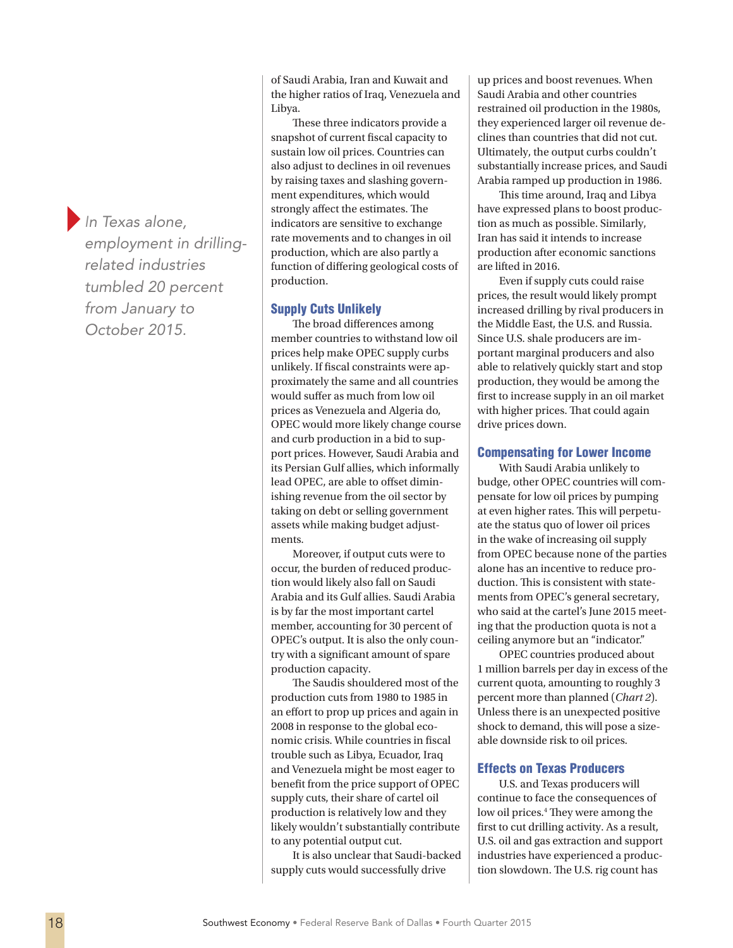}*In Texas alone, employment in drillingrelated industries tumbled 20 percent from January to October 2015.*

of Saudi Arabia, Iran and Kuwait and the higher ratios of Iraq, Venezuela and Libya.

These three indicators provide a snapshot of current fiscal capacity to sustain low oil prices. Countries can also adjust to declines in oil revenues by raising taxes and slashing government expenditures, which would strongly affect the estimates. The indicators are sensitive to exchange rate movements and to changes in oil production, which are also partly a function of differing geological costs of production.

## Supply Cuts Unlikely

The broad differences among member countries to withstand low oil prices help make OPEC supply curbs unlikely. If fiscal constraints were approximately the same and all countries would suffer as much from low oil prices as Venezuela and Algeria do, OPEC would more likely change course and curb production in a bid to support prices. However, Saudi Arabia and its Persian Gulf allies, which informally lead OPEC, are able to offset diminishing revenue from the oil sector by taking on debt or selling government assets while making budget adjustments.

Moreover, if output cuts were to occur, the burden of reduced production would likely also fall on Saudi Arabia and its Gulf allies. Saudi Arabia is by far the most important cartel member, accounting for 30 percent of OPEC's output. It is also the only country with a significant amount of spare production capacity.

The Saudis shouldered most of the production cuts from 1980 to 1985 in an effort to prop up prices and again in 2008 in response to the global economic crisis. While countries in fiscal trouble such as Libya, Ecuador, Iraq and Venezuela might be most eager to benefit from the price support of OPEC supply cuts, their share of cartel oil production is relatively low and they likely wouldn't substantially contribute to any potential output cut.

It is also unclear that Saudi-backed supply cuts would successfully drive

up prices and boost revenues. When Saudi Arabia and other countries restrained oil production in the 1980s, they experienced larger oil revenue declines than countries that did not cut. Ultimately, the output curbs couldn't substantially increase prices, and Saudi Arabia ramped up production in 1986.

This time around, Iraq and Libya have expressed plans to boost production as much as possible. Similarly, Iran has said it intends to increase production after economic sanctions are lifted in 2016.

Even if supply cuts could raise prices, the result would likely prompt increased drilling by rival producers in the Middle East, the U.S. and Russia. Since U.S. shale producers are important marginal producers and also able to relatively quickly start and stop production, they would be among the first to increase supply in an oil market with higher prices. That could again drive prices down.

### Compensating for Lower Income

With Saudi Arabia unlikely to budge, other OPEC countries will compensate for low oil prices by pumping at even higher rates. This will perpetuate the status quo of lower oil prices in the wake of increasing oil supply from OPEC because none of the parties alone has an incentive to reduce production. This is consistent with statements from OPEC's general secretary, who said at the cartel's June 2015 meeting that the production quota is not a ceiling anymore but an "indicator."

OPEC countries produced about 1 million barrels per day in excess of the current quota, amounting to roughly 3 percent more than planned (*Chart 2*). Unless there is an unexpected positive shock to demand, this will pose a sizeable downside risk to oil prices.

# Effects on Texas Producers

U.S. and Texas producers will continue to face the consequences of low oil prices.<sup>4</sup> They were among the first to cut drilling activity. As a result, U.S. oil and gas extraction and support industries have experienced a production slowdown. The U.S. rig count has